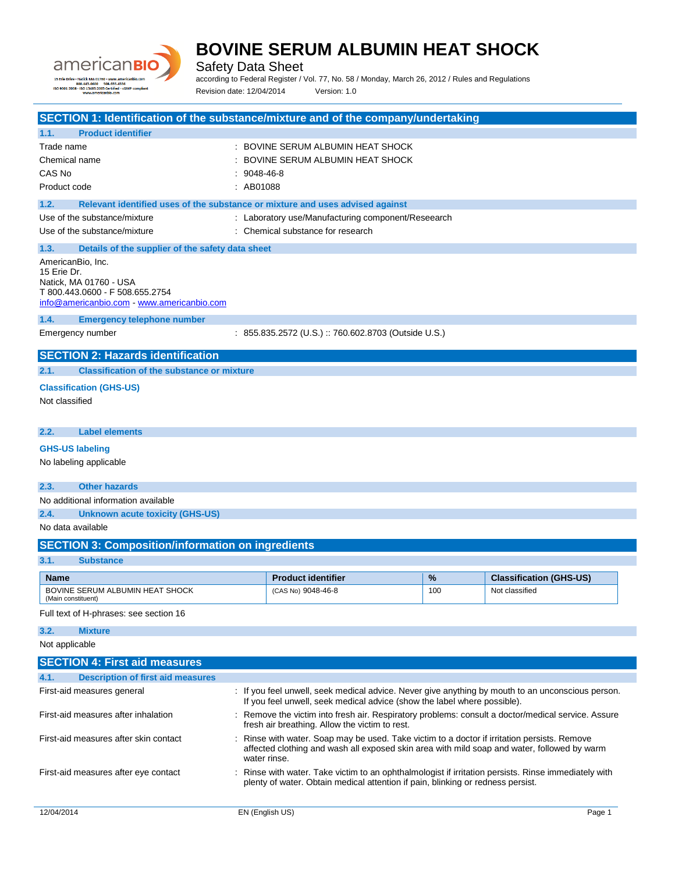

Safety Data Sheet

according to Federal Register / Vol. 77, No. 58 / Monday, March 26, 2012 / Rules and Regulations Revision date: 12/04/2014 Version: 1.0

| SECTION 1: Identification of the substance/mixture and of the company/undertaking     |               |                                                                                                                                                                                             |     |                                |
|---------------------------------------------------------------------------------------|---------------|---------------------------------------------------------------------------------------------------------------------------------------------------------------------------------------------|-----|--------------------------------|
| 1.1.<br><b>Product identifier</b>                                                     |               |                                                                                                                                                                                             |     |                                |
| Trade name                                                                            |               | : BOVINE SERUM ALBUMIN HEAT SHOCK                                                                                                                                                           |     |                                |
| Chemical name                                                                         |               | BOVINE SERUM ALBUMIN HEAT SHOCK                                                                                                                                                             |     |                                |
| CAS No                                                                                | $: 9048-46-8$ |                                                                                                                                                                                             |     |                                |
| Product code                                                                          | : AB01088     |                                                                                                                                                                                             |     |                                |
| 1.2.<br>Relevant identified uses of the substance or mixture and uses advised against |               |                                                                                                                                                                                             |     |                                |
| Use of the substance/mixture                                                          |               | : Laboratory use/Manufacturing component/Reseearch                                                                                                                                          |     |                                |
| Use of the substance/mixture                                                          |               | : Chemical substance for research                                                                                                                                                           |     |                                |
| 1.3.<br>Details of the supplier of the safety data sheet                              |               |                                                                                                                                                                                             |     |                                |
| AmericanBio, Inc.                                                                     |               |                                                                                                                                                                                             |     |                                |
| 15 Erie Dr.<br>Natick, MA 01760 - USA                                                 |               |                                                                                                                                                                                             |     |                                |
| T 800.443.0600 - F 508.655.2754                                                       |               |                                                                                                                                                                                             |     |                                |
| info@americanbio.com www.americanbio.com                                              |               |                                                                                                                                                                                             |     |                                |
| 1.4.<br><b>Emergency telephone number</b>                                             |               |                                                                                                                                                                                             |     |                                |
| Emergency number                                                                      |               | : 855.835.2572 (U.S.) :: 760.602.8703 (Outside U.S.)                                                                                                                                        |     |                                |
| <b>SECTION 2: Hazards identification</b>                                              |               |                                                                                                                                                                                             |     |                                |
| <b>Classification of the substance or mixture</b><br>2.1.                             |               |                                                                                                                                                                                             |     |                                |
| <b>Classification (GHS-US)</b>                                                        |               |                                                                                                                                                                                             |     |                                |
| Not classified                                                                        |               |                                                                                                                                                                                             |     |                                |
|                                                                                       |               |                                                                                                                                                                                             |     |                                |
| <b>Label elements</b><br>2.2.                                                         |               |                                                                                                                                                                                             |     |                                |
| <b>GHS-US labeling</b>                                                                |               |                                                                                                                                                                                             |     |                                |
| No labeling applicable                                                                |               |                                                                                                                                                                                             |     |                                |
| 2.3.<br><b>Other hazards</b>                                                          |               |                                                                                                                                                                                             |     |                                |
| No additional information available                                                   |               |                                                                                                                                                                                             |     |                                |
| 2.4.<br><b>Unknown acute toxicity (GHS-US)</b>                                        |               |                                                                                                                                                                                             |     |                                |
| No data available                                                                     |               |                                                                                                                                                                                             |     |                                |
| <b>SECTION 3: Composition/information on ingredients</b>                              |               |                                                                                                                                                                                             |     |                                |
| 3.1.<br><b>Substance</b>                                                              |               |                                                                                                                                                                                             |     |                                |
| Name                                                                                  |               | <b>Product identifier</b>                                                                                                                                                                   | %   | <b>Classification (GHS-US)</b> |
| BOVINE SERUM ALBUMIN HEAT SHOCK<br>(Main constituent)                                 |               | (CAS No) 9048-46-8                                                                                                                                                                          | 100 | Not classified                 |
| Full text of H-phrases: see section 16                                                |               |                                                                                                                                                                                             |     |                                |
| <b>Mixture</b><br>3.2.                                                                |               |                                                                                                                                                                                             |     |                                |
| Not applicable                                                                        |               |                                                                                                                                                                                             |     |                                |
| <b>SECTION 4: First aid measures</b>                                                  |               |                                                                                                                                                                                             |     |                                |
| <b>Description of first aid measures</b><br>4.1.                                      |               |                                                                                                                                                                                             |     |                                |
| First-aid measures general                                                            |               | : If you feel unwell, seek medical advice. Never give anything by mouth to an unconscious person.<br>If you feel unwell, seek medical advice (show the label where possible).               |     |                                |
| First-aid measures after inhalation                                                   |               | : Remove the victim into fresh air. Respiratory problems: consult a doctor/medical service. Assure<br>fresh air breathing. Allow the victim to rest.                                        |     |                                |
| First-aid measures after skin contact                                                 | water rinse.  | : Rinse with water. Soap may be used. Take victim to a doctor if irritation persists. Remove<br>affected clothing and wash all exposed skin area with mild soap and water, followed by warm |     |                                |
| First-aid measures after eye contact                                                  |               | : Rinse with water. Take victim to an ophthalmologist if irritation persists. Rinse immediately with<br>plenty of water. Obtain medical attention if pain, blinking or redness persist.     |     |                                |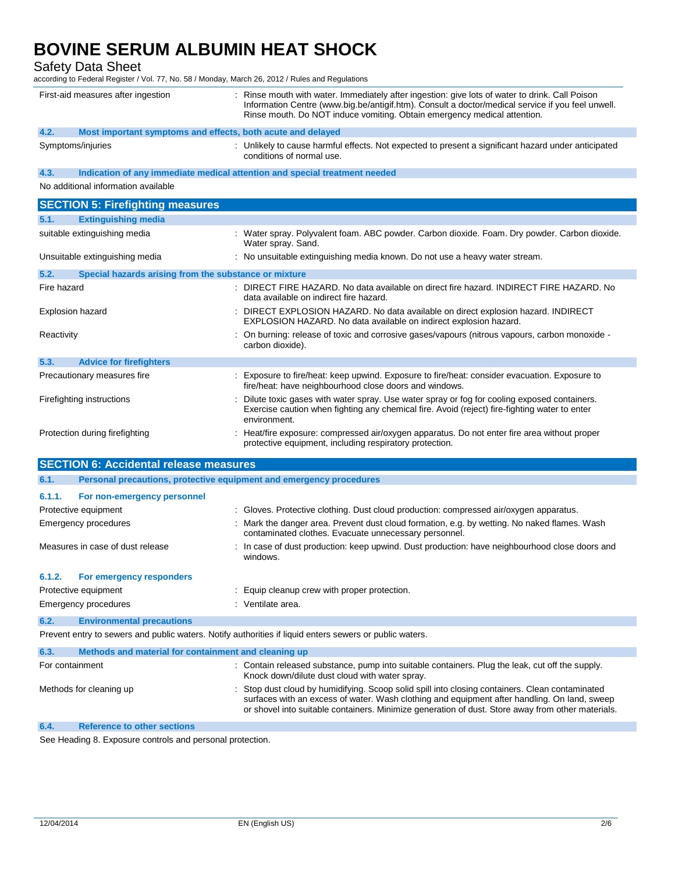Safety Data Sheet

according to Federal Register / Vol. 77, No. 58 / Monday, March 26, 2012 / Rules and Regulations

| First-aid measures after ingestion            |                                                       | : Rinse mouth with water. Immediately after ingestion: give lots of water to drink. Call Poison<br>Information Centre (www.big.be/antigif.htm). Consult a doctor/medical service if you feel unwell.<br>Rinse mouth. Do NOT induce vomiting. Obtain emergency medical attention.                   |
|-----------------------------------------------|-------------------------------------------------------|----------------------------------------------------------------------------------------------------------------------------------------------------------------------------------------------------------------------------------------------------------------------------------------------------|
| 4.2.                                          |                                                       | Most important symptoms and effects, both acute and delayed                                                                                                                                                                                                                                        |
| Symptoms/injuries                             |                                                       | : Unlikely to cause harmful effects. Not expected to present a significant hazard under anticipated<br>conditions of normal use.                                                                                                                                                                   |
| 4.3.                                          |                                                       | Indication of any immediate medical attention and special treatment needed                                                                                                                                                                                                                         |
| No additional information available           |                                                       |                                                                                                                                                                                                                                                                                                    |
| <b>SECTION 5: Firefighting measures</b>       |                                                       |                                                                                                                                                                                                                                                                                                    |
| 5.1.<br><b>Extinguishing media</b>            |                                                       |                                                                                                                                                                                                                                                                                                    |
| suitable extinguishing media                  |                                                       | : Water spray. Polyvalent foam. ABC powder. Carbon dioxide. Foam. Dry powder. Carbon dioxide.<br>Water spray. Sand.                                                                                                                                                                                |
| Unsuitable extinguishing media                |                                                       | : No unsuitable extinguishing media known. Do not use a heavy water stream.                                                                                                                                                                                                                        |
| 5.2.                                          | Special hazards arising from the substance or mixture |                                                                                                                                                                                                                                                                                                    |
| Fire hazard                                   |                                                       | : DIRECT FIRE HAZARD. No data available on direct fire hazard. INDIRECT FIRE HAZARD. No<br>data available on indirect fire hazard.                                                                                                                                                                 |
| Explosion hazard                              |                                                       | : DIRECT EXPLOSION HAZARD. No data available on direct explosion hazard. INDIRECT<br>EXPLOSION HAZARD. No data available on indirect explosion hazard.                                                                                                                                             |
| Reactivity                                    |                                                       | : On burning: release of toxic and corrosive gases/vapours (nitrous vapours, carbon monoxide -<br>carbon dioxide).                                                                                                                                                                                 |
| 5.3.<br><b>Advice for firefighters</b>        |                                                       |                                                                                                                                                                                                                                                                                                    |
| Precautionary measures fire                   |                                                       | Exposure to fire/heat: keep upwind. Exposure to fire/heat: consider evacuation. Exposure to<br>fire/heat: have neighbourhood close doors and windows.                                                                                                                                              |
| Firefighting instructions                     |                                                       | Dilute toxic gases with water spray. Use water spray or fog for cooling exposed containers.<br>Exercise caution when fighting any chemical fire. Avoid (reject) fire-fighting water to enter<br>environment.                                                                                       |
| Protection during firefighting                |                                                       | : Heat/fire exposure: compressed air/oxygen apparatus. Do not enter fire area without proper<br>protective equipment, including respiratory protection.                                                                                                                                            |
| <b>SECTION 6: Accidental release measures</b> |                                                       |                                                                                                                                                                                                                                                                                                    |
| 6.1.                                          |                                                       | Personal precautions, protective equipment and emergency procedures                                                                                                                                                                                                                                |
| 6.1.1.<br>For non-emergency personnel         |                                                       |                                                                                                                                                                                                                                                                                                    |
| Protective equipment                          |                                                       | : Gloves. Protective clothing. Dust cloud production: compressed air/oxygen apparatus.                                                                                                                                                                                                             |
| <b>Emergency procedures</b>                   |                                                       | : Mark the danger area. Prevent dust cloud formation, e.g. by wetting. No naked flames. Wash<br>contaminated clothes. Evacuate unnecessary personnel.                                                                                                                                              |
| Measures in case of dust release              |                                                       | : In case of dust production: keep upwind. Dust production: have neighbourhood close doors and<br>windows.                                                                                                                                                                                         |
| 6.1.2.<br>For emergency responders            |                                                       |                                                                                                                                                                                                                                                                                                    |
| Protective equipment                          |                                                       | Equip cleanup crew with proper protection.                                                                                                                                                                                                                                                         |
| Emergency procedures                          |                                                       | : Ventilate area.                                                                                                                                                                                                                                                                                  |
| 6.2.<br><b>Environmental precautions</b>      |                                                       |                                                                                                                                                                                                                                                                                                    |
|                                               |                                                       | Prevent entry to sewers and public waters. Notify authorities if liquid enters sewers or public waters.                                                                                                                                                                                            |
| 6.3.                                          | Methods and material for containment and cleaning up  |                                                                                                                                                                                                                                                                                                    |
| For containment                               |                                                       | : Contain released substance, pump into suitable containers. Plug the leak, cut off the supply.<br>Knock down/dilute dust cloud with water spray.                                                                                                                                                  |
| Methods for cleaning up                       |                                                       | Stop dust cloud by humidifying. Scoop solid spill into closing containers. Clean contaminated<br>surfaces with an excess of water. Wash clothing and equipment after handling. On land, sweep<br>or shovel into suitable containers. Minimize generation of dust. Store away from other materials. |
| <b>Reference to other sections</b><br>6.4.    |                                                       |                                                                                                                                                                                                                                                                                                    |

See Heading 8. Exposure controls and personal protection.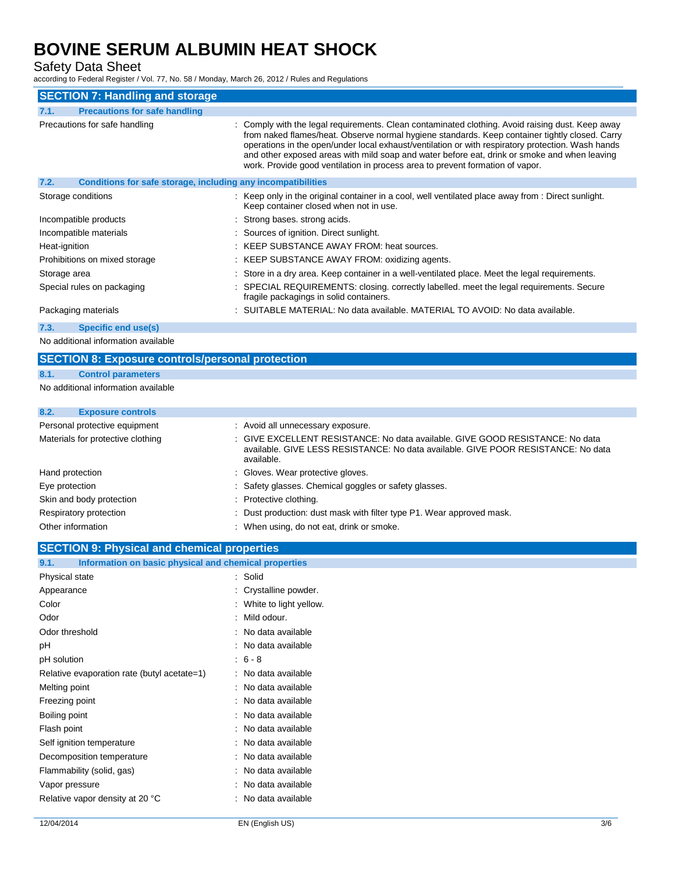Safety Data Sheet

according to Federal Register / Vol. 77, No. 58 / Monday, March 26, 2012 / Rules and Regulations

| <b>SECTION 7: Handling and storage</b>                               |                                                                                                                                                                                                                                                                                                                                                                                                                                                                                          |
|----------------------------------------------------------------------|------------------------------------------------------------------------------------------------------------------------------------------------------------------------------------------------------------------------------------------------------------------------------------------------------------------------------------------------------------------------------------------------------------------------------------------------------------------------------------------|
| <b>Precautions for safe handling</b><br>7.1.                         |                                                                                                                                                                                                                                                                                                                                                                                                                                                                                          |
| Precautions for safe handling                                        | : Comply with the legal requirements. Clean contaminated clothing. Avoid raising dust. Keep away<br>from naked flames/heat. Observe normal hygiene standards. Keep container tightly closed. Carry<br>operations in the open/under local exhaust/ventilation or with respiratory protection. Wash hands<br>and other exposed areas with mild soap and water before eat, drink or smoke and when leaving<br>work. Provide good ventilation in process area to prevent formation of vapor. |
| 7.2.<br>Conditions for safe storage, including any incompatibilities |                                                                                                                                                                                                                                                                                                                                                                                                                                                                                          |
| Storage conditions                                                   | : Keep only in the original container in a cool, well ventilated place away from : Direct sunlight.<br>Keep container closed when not in use.                                                                                                                                                                                                                                                                                                                                            |
| Incompatible products                                                | : Strong bases, strong acids.                                                                                                                                                                                                                                                                                                                                                                                                                                                            |
| Incompatible materials                                               | : Sources of ignition. Direct sunlight.                                                                                                                                                                                                                                                                                                                                                                                                                                                  |
| Heat-ignition                                                        | : KEEP SUBSTANCE AWAY FROM: heat sources.                                                                                                                                                                                                                                                                                                                                                                                                                                                |
| Prohibitions on mixed storage                                        | : KEEP SUBSTANCE AWAY FROM: oxidizing agents.                                                                                                                                                                                                                                                                                                                                                                                                                                            |
| Storage area                                                         | : Store in a dry area. Keep container in a well-ventilated place. Meet the legal requirements.                                                                                                                                                                                                                                                                                                                                                                                           |
| Special rules on packaging                                           | : SPECIAL REQUIREMENTS: closing. correctly labelled. meet the legal requirements. Secure<br>fragile packagings in solid containers.                                                                                                                                                                                                                                                                                                                                                      |
| Packaging materials                                                  | : SUITABLE MATERIAL: No data available. MATERIAL TO AVOID: No data available.                                                                                                                                                                                                                                                                                                                                                                                                            |
| Specific end use(s)<br>7.3.                                          |                                                                                                                                                                                                                                                                                                                                                                                                                                                                                          |

No additional information available

#### **SECTION 8: Exposure controls/personal protection**

#### **8.1. Control parameters**

No additional information available

### **8.2. Exposure controls**

| Personal protective equipment     | : Avoid all unnecessary exposure.                                                                                                                                              |
|-----------------------------------|--------------------------------------------------------------------------------------------------------------------------------------------------------------------------------|
| Materials for protective clothing | GIVE EXCELLENT RESISTANCE: No data available. GIVE GOOD RESISTANCE: No data<br>available. GIVE LESS RESISTANCE: No data available. GIVE POOR RESISTANCE: No data<br>available. |
| Hand protection                   | : Gloves. Wear protective gloves.                                                                                                                                              |
| Eye protection                    | : Safety glasses. Chemical goggles or safety glasses.                                                                                                                          |
| Skin and body protection          | : Protective clothing.                                                                                                                                                         |
| Respiratory protection            | : Dust production: dust mask with filter type P1. Wear approved mask.                                                                                                          |
| Other information                 | When using, do not eat, drink or smoke.                                                                                                                                        |

### **SECTION 9: Physical and chemical properties**

| Information on basic physical and chemical properties<br>9.1. |                        |
|---------------------------------------------------------------|------------------------|
| Physical state                                                | Solid                  |
| Appearance                                                    | Crystalline powder.    |
| Color                                                         | White to light yellow. |
| Odor                                                          | Mild odour.            |
| Odor threshold                                                | No data available      |
| рH                                                            | No data available      |
| pH solution                                                   | $6 - 8$                |
| Relative evaporation rate (butyl acetate=1)                   | No data available      |
| Melting point                                                 | No data available      |
| Freezing point                                                | No data available      |
| Boiling point                                                 | No data available      |
| Flash point                                                   | No data available      |
| Self ignition temperature                                     | No data available      |
| Decomposition temperature                                     | No data available      |
| Flammability (solid, gas)                                     | No data available      |
| Vapor pressure                                                | No data available      |
| Relative vapor density at 20 °C                               | No data available      |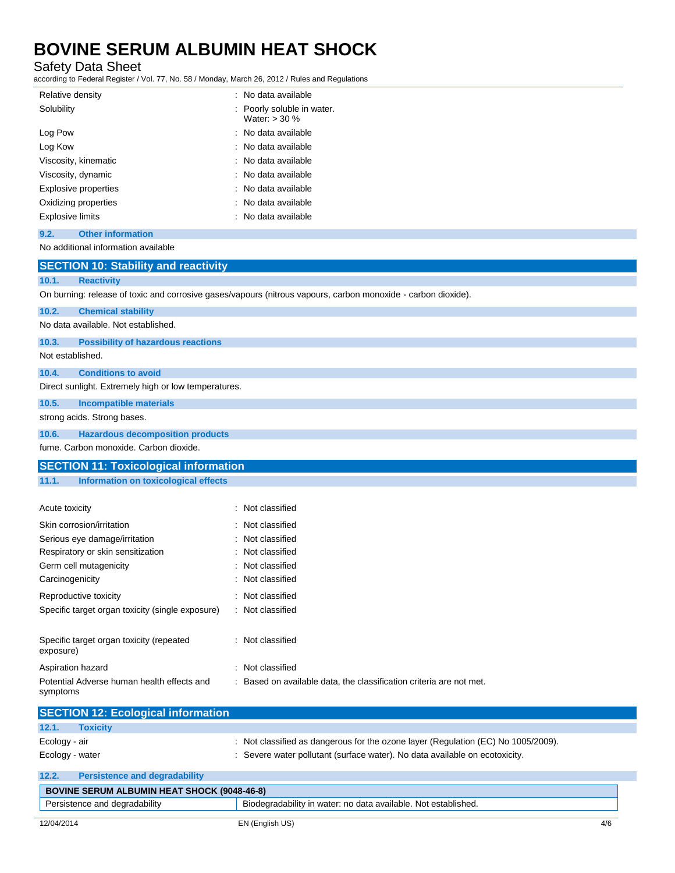Safety Data Sheet

according to Federal Register / Vol. 77, No. 58 / Monday, March 26, 2012 / Rules and Regulations

| Relative density                 | : No data available                           |
|----------------------------------|-----------------------------------------------|
| Solubility                       | : Poorly soluble in water.<br>Water: $>$ 30 % |
| Log Pow                          | : No data available                           |
| Log Kow                          | : No data available                           |
| Viscosity, kinematic             | : No data available                           |
| Viscosity, dynamic               | : No data available                           |
| Explosive properties             | : No data available                           |
| Oxidizing properties             | : No data available                           |
| <b>Explosive limits</b>          | : No data available                           |
| 9.2.<br><b>Other information</b> |                                               |

No additional information available

| <b>SECTION 10: Stability and reactivity</b>            |                                                                                                               |
|--------------------------------------------------------|---------------------------------------------------------------------------------------------------------------|
| <b>Reactivity</b><br>10.1.                             |                                                                                                               |
|                                                        | On burning: release of toxic and corrosive gases/vapours (nitrous vapours, carbon monoxide - carbon dioxide). |
| 10.2.<br><b>Chemical stability</b>                     |                                                                                                               |
| No data available. Not established.                    |                                                                                                               |
| 10.3.<br><b>Possibility of hazardous reactions</b>     |                                                                                                               |
| Not established.                                       |                                                                                                               |
| <b>Conditions to avoid</b><br>10.4.                    |                                                                                                               |
| Direct sunlight. Extremely high or low temperatures.   |                                                                                                               |
| 10.5.<br><b>Incompatible materials</b>                 |                                                                                                               |
| strong acids. Strong bases.                            |                                                                                                               |
| 10.6.<br><b>Hazardous decomposition products</b>       |                                                                                                               |
| fume. Carbon monoxide. Carbon dioxide.                 |                                                                                                               |
| <b>SECTION 11: Toxicological information</b>           |                                                                                                               |
| 11.1.<br>Information on toxicological effects          |                                                                                                               |
|                                                        |                                                                                                               |
| Acute toxicity                                         | : Not classified                                                                                              |
| Skin corrosion/irritation                              | Not classified                                                                                                |
| Serious eye damage/irritation                          | Not classified                                                                                                |
| Respiratory or skin sensitization                      | Not classified                                                                                                |
| Germ cell mutagenicity                                 | Not classified                                                                                                |
| Carcinogenicity                                        | Not classified                                                                                                |
| Reproductive toxicity                                  | Not classified                                                                                                |
| Specific target organ toxicity (single exposure)       | : Not classified                                                                                              |
|                                                        |                                                                                                               |
| Specific target organ toxicity (repeated<br>exposure)  | : Not classified                                                                                              |
| Aspiration hazard                                      | : Not classified                                                                                              |
| Potential Adverse human health effects and<br>symptoms | Based on available data, the classification criteria are not met.                                             |
| <b>SECTION 12: Ecological information</b>              |                                                                                                               |
| 12.1.<br><b>Toxicity</b>                               |                                                                                                               |
| Ecology - air                                          | : Not classified as dangerous for the ozone layer (Regulation (EC) No 1005/2009).                             |

| $\cdots$        |  |
|-----------------|--|
| Ecology - water |  |

: Severe water pollutant (surface water). No data available on ecotoxicity.

| <b>Persistence and degradability</b><br>12.2.      |                                                                |     |
|----------------------------------------------------|----------------------------------------------------------------|-----|
| <b>BOVINE SERUM ALBUMIN HEAT SHOCK (9048-46-8)</b> |                                                                |     |
| Persistence and degradability                      | Biodegradability in water: no data available. Not established. |     |
| 12/04/2014                                         | EN (English US)                                                | 4/6 |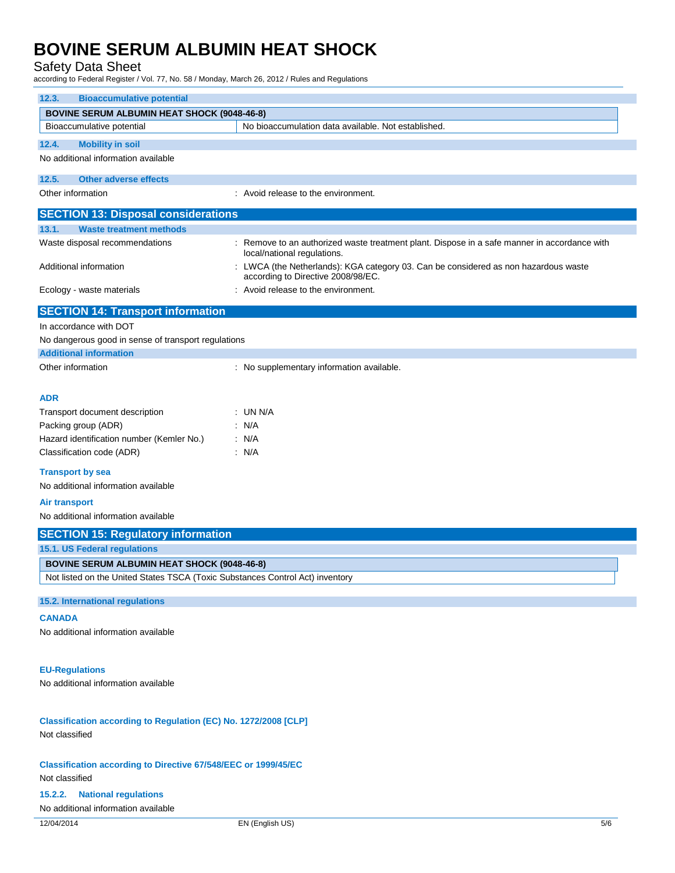### Safety Data Sheet

according to Federal Register / Vol. 77, No. 58 / Monday, March 26, 2012 / Rules and Regulations

| <b>Bioaccumulative potential</b><br>12.3.                                                                                           |                                                                                                                             |  |
|-------------------------------------------------------------------------------------------------------------------------------------|-----------------------------------------------------------------------------------------------------------------------------|--|
| <b>BOVINE SERUM ALBUMIN HEAT SHOCK (9048-46-8)</b>                                                                                  |                                                                                                                             |  |
| Bioaccumulative potential                                                                                                           | No bioaccumulation data available. Not established.                                                                         |  |
| <b>Mobility in soil</b><br>12.4.                                                                                                    |                                                                                                                             |  |
| No additional information available                                                                                                 |                                                                                                                             |  |
| <b>Other adverse effects</b><br>12.5.                                                                                               |                                                                                                                             |  |
| Other information                                                                                                                   | : Avoid release to the environment.                                                                                         |  |
| <b>SECTION 13: Disposal considerations</b>                                                                                          |                                                                                                                             |  |
| 13.1.<br><b>Waste treatment methods</b>                                                                                             |                                                                                                                             |  |
| Waste disposal recommendations                                                                                                      | : Remove to an authorized waste treatment plant. Dispose in a safe manner in accordance with<br>local/national regulations. |  |
| Additional information                                                                                                              | LWCA (the Netherlands): KGA category 03. Can be considered as non hazardous waste<br>according to Directive 2008/98/EC.     |  |
| Ecology - waste materials                                                                                                           | : Avoid release to the environment.                                                                                         |  |
| <b>SECTION 14: Transport information</b>                                                                                            |                                                                                                                             |  |
| In accordance with DOT                                                                                                              |                                                                                                                             |  |
| No dangerous good in sense of transport regulations                                                                                 |                                                                                                                             |  |
| <b>Additional information</b>                                                                                                       |                                                                                                                             |  |
| Other information                                                                                                                   | : No supplementary information available.                                                                                   |  |
| <b>ADR</b>                                                                                                                          |                                                                                                                             |  |
| Transport document description                                                                                                      | $:$ UN N/A                                                                                                                  |  |
| Packing group (ADR)                                                                                                                 | : N/A                                                                                                                       |  |
| Hazard identification number (Kemler No.)                                                                                           | : N/A                                                                                                                       |  |
| Classification code (ADR)                                                                                                           | : N/A                                                                                                                       |  |
| <b>Transport by sea</b><br>No additional information available                                                                      |                                                                                                                             |  |
|                                                                                                                                     |                                                                                                                             |  |
| <b>Air transport</b>                                                                                                                |                                                                                                                             |  |
| No additional information available                                                                                                 |                                                                                                                             |  |
| <b>SECTION 15: Regulatory information</b>                                                                                           |                                                                                                                             |  |
| 15.1. US Federal regulations                                                                                                        |                                                                                                                             |  |
| <b>BOVINE SERUM ALBUMIN HEAT SHOCK (9048-46-8)</b><br>Not listed on the United States TSCA (Toxic Substances Control Act) inventory |                                                                                                                             |  |
|                                                                                                                                     |                                                                                                                             |  |
| 15.2. International regulations                                                                                                     |                                                                                                                             |  |
| <b>CANADA</b>                                                                                                                       |                                                                                                                             |  |
| No additional information available                                                                                                 |                                                                                                                             |  |
| <b>EU-Regulations</b>                                                                                                               |                                                                                                                             |  |
| No additional information available                                                                                                 |                                                                                                                             |  |
|                                                                                                                                     |                                                                                                                             |  |
| Classification according to Regulation (EC) No. 1272/2008 [CLP]<br>Not classified                                                   |                                                                                                                             |  |
| <b>Classification according to Directive 67/548/EEC or 1999/45/EC</b><br>Not classified                                             |                                                                                                                             |  |
| <b>National regulations</b><br>15.2.2.                                                                                              |                                                                                                                             |  |
| No additional information available                                                                                                 |                                                                                                                             |  |
| 12/04/2014                                                                                                                          | EN (English US)<br>5/6                                                                                                      |  |
|                                                                                                                                     |                                                                                                                             |  |